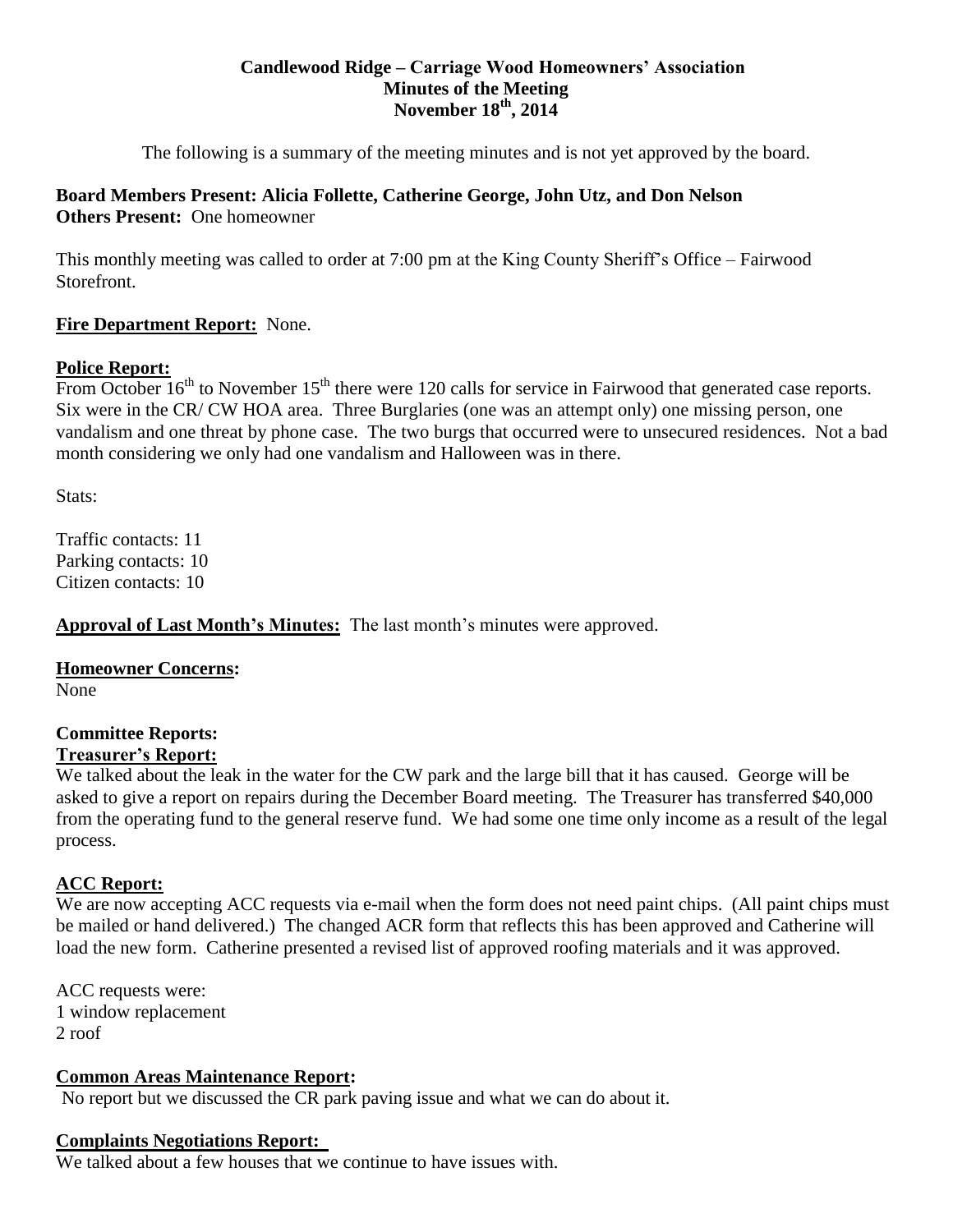#### **Candlewood Ridge – Carriage Wood Homeowners' Association Minutes of the Meeting November 18th, 2014**

The following is a summary of the meeting minutes and is not yet approved by the board.

# **Board Members Present: Alicia Follette, Catherine George, John Utz, and Don Nelson Others Present:** One homeowner

This monthly meeting was called to order at 7:00 pm at the King County Sheriff's Office – Fairwood Storefront.

# **Fire Department Report:** None.

### **Police Report:**

From October  $16<sup>th</sup>$  to November  $15<sup>th</sup>$  there were 120 calls for service in Fairwood that generated case reports. Six were in the CR/ CW HOA area. Three Burglaries (one was an attempt only) one missing person, one vandalism and one threat by phone case. The two burgs that occurred were to unsecured residences. Not a bad month considering we only had one vandalism and Halloween was in there.

Stats:

Traffic contacts: 11 Parking contacts: 10 Citizen contacts: 10

**Approval of Last Month's Minutes:** The last month's minutes were approved.

### **Homeowner Concerns:**

None

# **Committee Reports:**

# **Treasurer's Report:**

We talked about the leak in the water for the CW park and the large bill that it has caused. George will be asked to give a report on repairs during the December Board meeting. The Treasurer has transferred \$40,000 from the operating fund to the general reserve fund. We had some one time only income as a result of the legal process.

# **ACC Report:**

We are now accepting ACC requests via e-mail when the form does not need paint chips. (All paint chips must be mailed or hand delivered.) The changed ACR form that reflects this has been approved and Catherine will load the new form. Catherine presented a revised list of approved roofing materials and it was approved.

ACC requests were: 1 window replacement 2 roof

### **Common Areas Maintenance Report:**

No report but we discussed the CR park paving issue and what we can do about it.

### **Complaints Negotiations Report:**

We talked about a few houses that we continue to have issues with.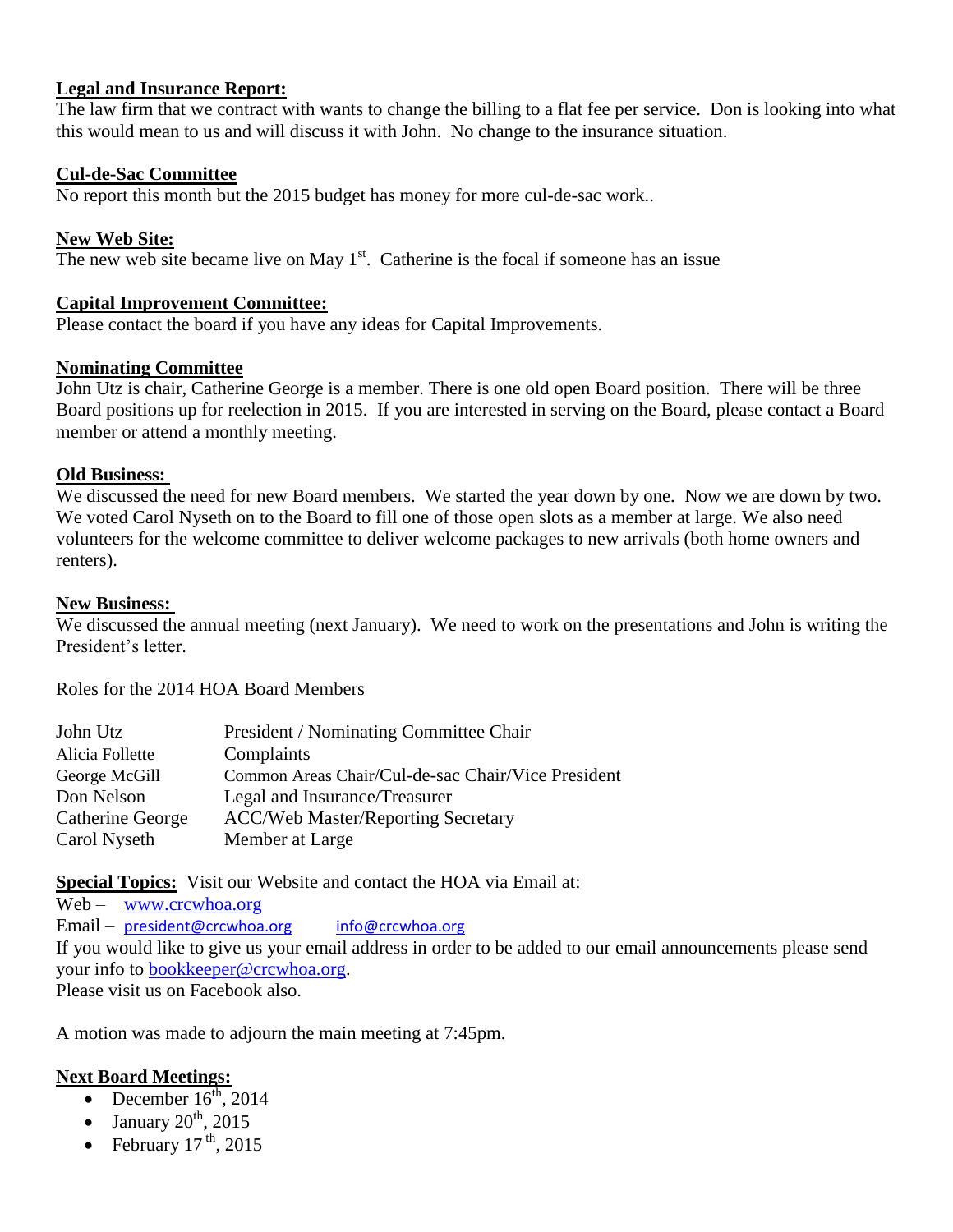#### **Legal and Insurance Report:**

The law firm that we contract with wants to change the billing to a flat fee per service. Don is looking into what this would mean to us and will discuss it with John. No change to the insurance situation.

#### **Cul-de-Sac Committee**

No report this month but the 2015 budget has money for more cul-de-sac work..

#### **New Web Site:**

The new web site became live on May  $1<sup>st</sup>$ . Catherine is the focal if someone has an issue

#### **Capital Improvement Committee:**

Please contact the board if you have any ideas for Capital Improvements.

#### **Nominating Committee**

John Utz is chair, Catherine George is a member. There is one old open Board position. There will be three Board positions up for reelection in 2015. If you are interested in serving on the Board, please contact a Board member or attend a monthly meeting.

#### **Old Business:**

We discussed the need for new Board members. We started the year down by one. Now we are down by two. We voted Carol Nyseth on to the Board to fill one of those open slots as a member at large. We also need volunteers for the welcome committee to deliver welcome packages to new arrivals (both home owners and renters).

#### **New Business:**

We discussed the annual meeting (next January). We need to work on the presentations and John is writing the President's letter.

Roles for the 2014 HOA Board Members

| John Utz         | President / Nominating Committee Chair             |
|------------------|----------------------------------------------------|
| Alicia Follette  | Complaints                                         |
| George McGill    | Common Areas Chair/Cul-de-sac Chair/Vice President |
| Don Nelson       | Legal and Insurance/Treasurer                      |
| Catherine George | <b>ACC/Web Master/Reporting Secretary</b>          |
| Carol Nyseth     | Member at Large                                    |

**Special Topics:** Visit our Website and contact the HOA via Email at:

Web – [www.crcwhoa.org](http://www.crcwhoa.org/) Email – [president@crcwhoa.org](mailto:president@crcwhoa.org) [info@crcwhoa.org](mailto:info@crcwhoa.org) If you would like to give us your email address in order to be added to our email announcements please send your info to [bookkeeper@crcwhoa.org.](mailto:bookkeeper@crcwhoa.org) Please visit us on Facebook also.

A motion was made to adjourn the main meeting at 7:45pm.

#### **Next Board Meetings:**

- December  $16^{th}$ , 2014
- January  $20^{th}$ ,  $2015$
- February  $17^{th}$ , 2015